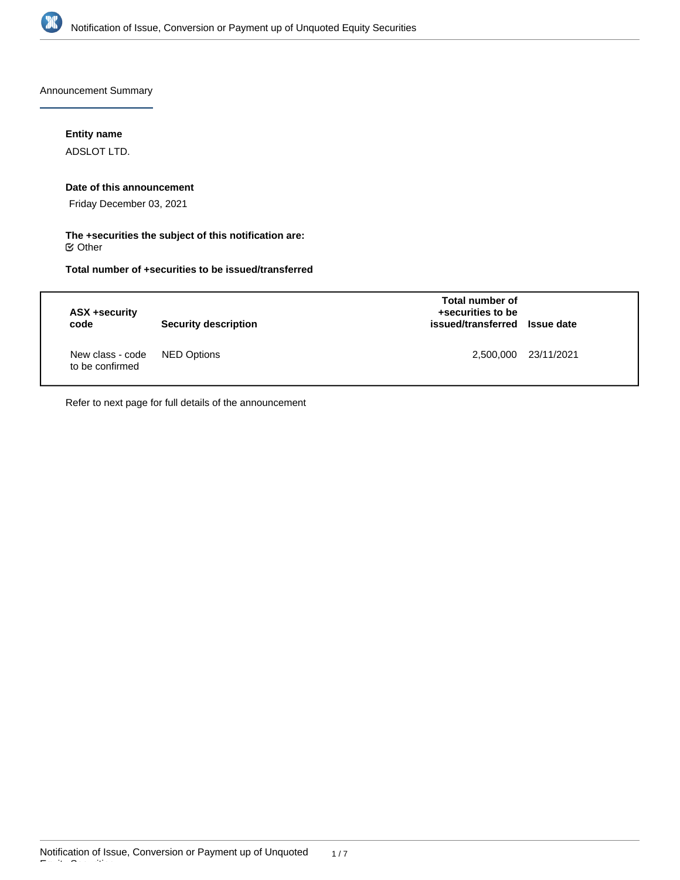

Announcement Summary

**Entity name**

ADSLOT LTD.

## **Date of this announcement**

Friday December 03, 2021

**The +securities the subject of this notification are:**  $\mathfrak S$  Other

**Total number of +securities to be issued/transferred**

| ASX +security<br>code               | <b>Security description</b> | Total number of<br>+securities to be<br>issued/transferred Issue date |                      |
|-------------------------------------|-----------------------------|-----------------------------------------------------------------------|----------------------|
| New class - code<br>to be confirmed | NED Options                 |                                                                       | 2,500,000 23/11/2021 |

Refer to next page for full details of the announcement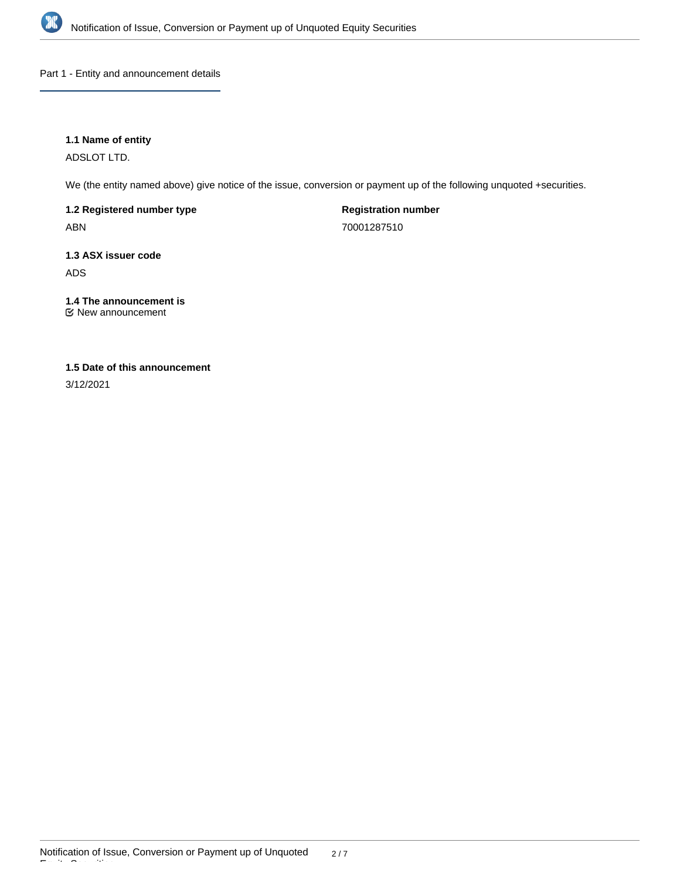

Part 1 - Entity and announcement details

# **1.1 Name of entity**

ADSLOT LTD.

We (the entity named above) give notice of the issue, conversion or payment up of the following unquoted +securities.

**1.2 Registered number type** ABN

**Registration number** 70001287510

**1.3 ASX issuer code** ADS

**1.4 The announcement is** New announcement

# **1.5 Date of this announcement**

3/12/2021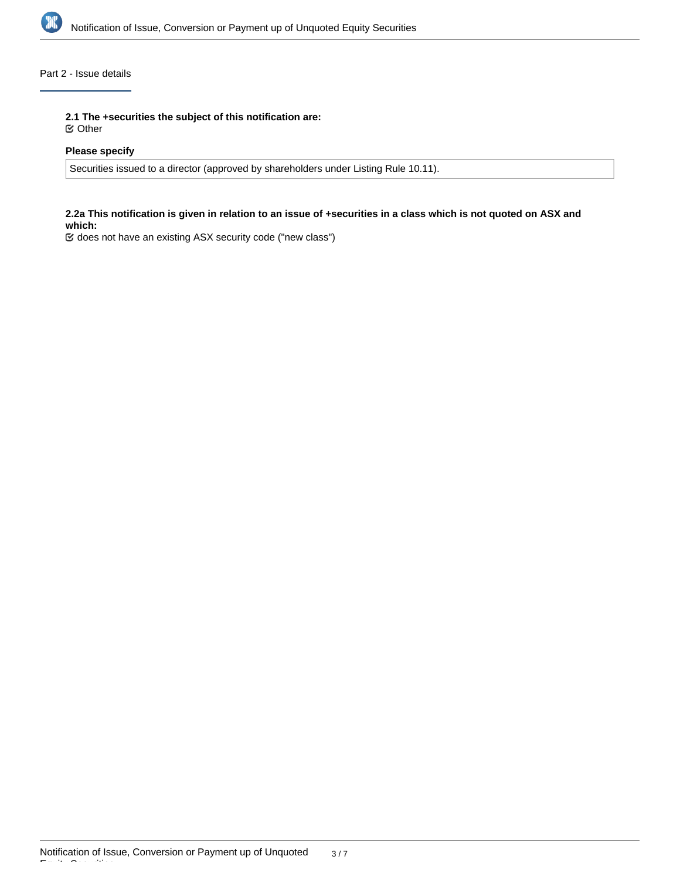

# Part 2 - Issue details

**2.1 The +securities the subject of this notification are:**

Other

## **Please specify**

Securities issued to a director (approved by shareholders under Listing Rule 10.11).

## **2.2a This notification is given in relation to an issue of +securities in a class which is not quoted on ASX and which:**

does not have an existing ASX security code ("new class")

Equity Securities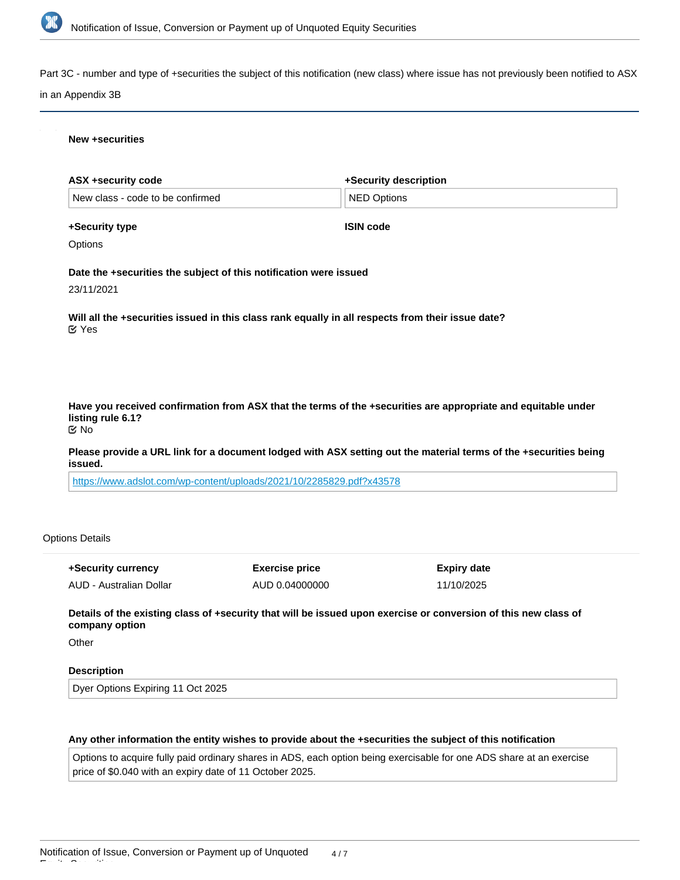

Part 3C - number and type of +securities the subject of this notification (new class) where issue has not previously been notified to ASX

#### in an Appendix 3B

#### **New +securities**

| ASX +security code               | +Security description |
|----------------------------------|-----------------------|
| New class - code to be confirmed | ∣NED Options          |
|                                  |                       |

# **+Security type**

**ISIN code**

## **Options**

**Date the +securities the subject of this notification were issued**

23/11/2021

**Will all the +securities issued in this class rank equally in all respects from their issue date?** Yes

**Have you received confirmation from ASX that the terms of the +securities are appropriate and equitable under listing rule 6.1?** No

**Please provide a URL link for a document lodged with ASX setting out the material terms of the +securities being issued.**

<https://www.adslot.com/wp-content/uploads/2021/10/2285829.pdf?x43578>

#### Options Details

| +Security currency      | <b>Exercise price</b> | Expiry date |
|-------------------------|-----------------------|-------------|
| AUD - Australian Dollar | AUD 0.04000000        | 11/10/2025  |

**Details of the existing class of +security that will be issued upon exercise or conversion of this new class of company option**

**Other** 

Equity Securities

## **Description**

Dyer Options Expiring 11 Oct 2025

#### **Any other information the entity wishes to provide about the +securities the subject of this notification**

Options to acquire fully paid ordinary shares in ADS, each option being exercisable for one ADS share at an exercise price of \$0.040 with an expiry date of 11 October 2025.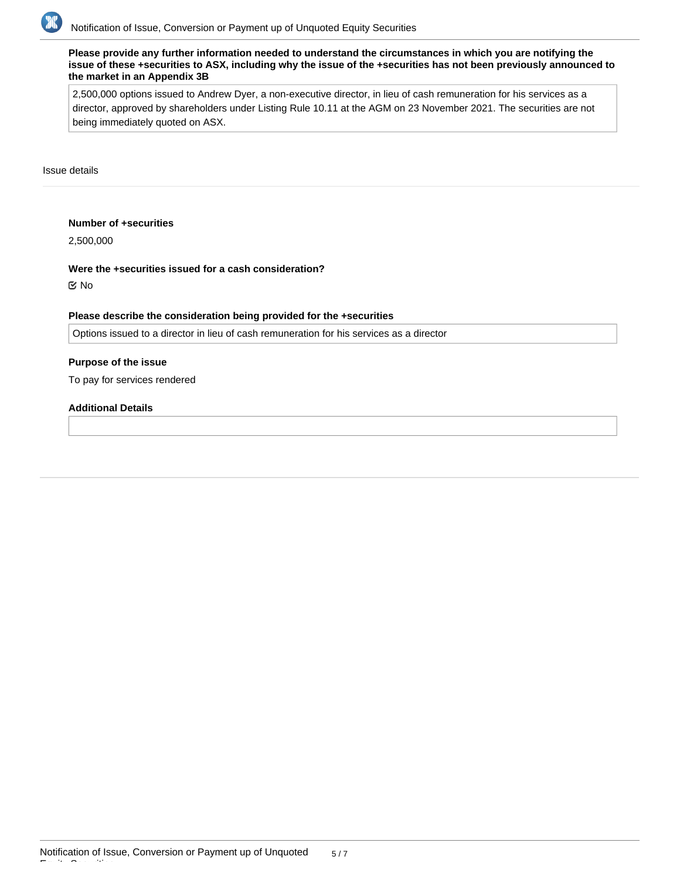

**Please provide any further information needed to understand the circumstances in which you are notifying the issue of these +securities to ASX, including why the issue of the +securities has not been previously announced to the market in an Appendix 3B**

2,500,000 options issued to Andrew Dyer, a non-executive director, in lieu of cash remuneration for his services as a director, approved by shareholders under Listing Rule 10.11 at the AGM on 23 November 2021. The securities are not being immediately quoted on ASX.

Issue details

#### **Number of +securities**

2,500,000

**Were the +securities issued for a cash consideration?** No

#### **Please describe the consideration being provided for the +securities**

Options issued to a director in lieu of cash remuneration for his services as a director

## **Purpose of the issue**

To pay for services rendered

#### **Additional Details**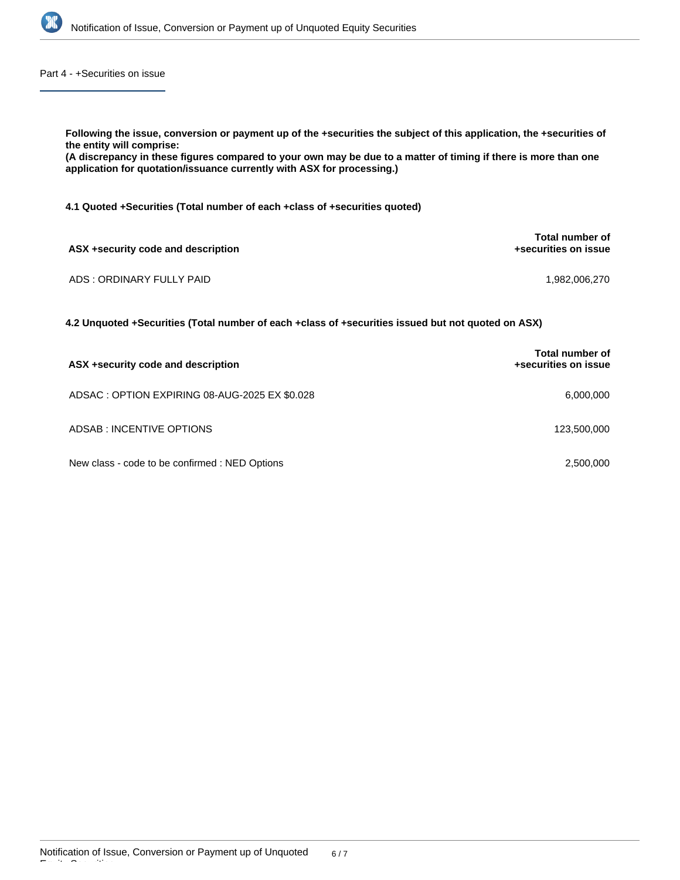

Part 4 - +Securities on issue

| Following the issue, conversion or payment up of the +securities the subject of this application, the +securities of<br>the entity will comprise:<br>(A discrepancy in these figures compared to your own may be due to a matter of timing if there is more than one<br>application for quotation/issuance currently with ASX for processing.) |                                         |  |  |  |  |
|------------------------------------------------------------------------------------------------------------------------------------------------------------------------------------------------------------------------------------------------------------------------------------------------------------------------------------------------|-----------------------------------------|--|--|--|--|
| 4.1 Quoted +Securities (Total number of each +class of +securities quoted)                                                                                                                                                                                                                                                                     |                                         |  |  |  |  |
| ASX +security code and description                                                                                                                                                                                                                                                                                                             | Total number of<br>+securities on issue |  |  |  |  |
| ADS: ORDINARY FULLY PAID                                                                                                                                                                                                                                                                                                                       | 1.982.006.270                           |  |  |  |  |
| 4.2 Unquoted +Securities (Total number of each +class of +securities issued but not quoted on ASX)                                                                                                                                                                                                                                             |                                         |  |  |  |  |
|                                                                                                                                                                                                                                                                                                                                                | Total number of                         |  |  |  |  |

| ASX +security code and description             | +securities on issue |
|------------------------------------------------|----------------------|
| ADSAC: OPTION EXPIRING 08-AUG-2025 EX \$0.028  | 6.000.000            |
| ADSAB: INCENTIVE OPTIONS                       | 123,500,000          |
| New class - code to be confirmed : NED Options | 2.500.000            |

Equity Securities